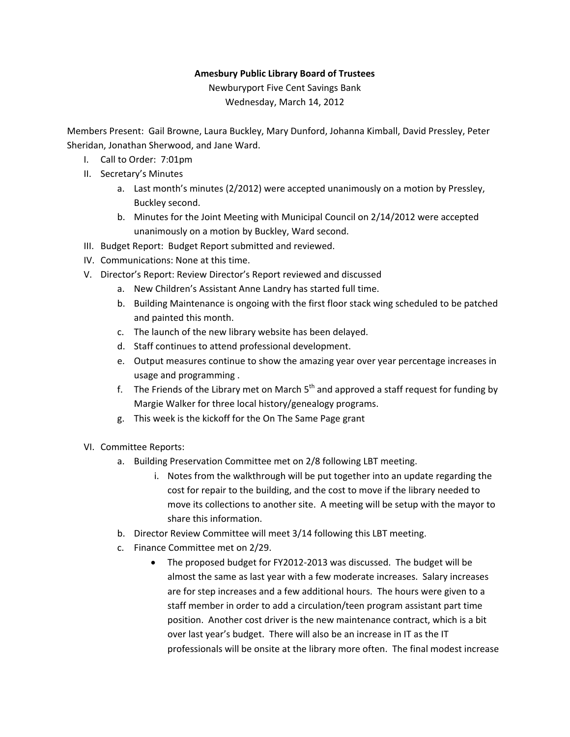## **Amesbury Public Library Board of Trustees**

Newburyport Five Cent Savings Bank Wednesday, March 14, 2012

Members Present: Gail Browne, Laura Buckley, Mary Dunford, Johanna Kimball, David Pressley, Peter Sheridan, Jonathan Sherwood, and Jane Ward.

- I. Call to Order: 7:01pm
- II. Secretary's Minutes
	- a. Last month's minutes (2/2012) were accepted unanimously on a motion by Pressley, Buckley second.
	- b. Minutes for the Joint Meeting with Municipal Council on 2/14/2012 were accepted unanimously on a motion by Buckley, Ward second.
- III. Budget Report: Budget Report submitted and reviewed.
- IV. Communications: None at this time.
- V. Director's Report: Review Director's Report reviewed and discussed
	- a. New Children's Assistant Anne Landry has started full time.
	- b. Building Maintenance is ongoing with the first floor stack wing scheduled to be patched and painted this month.
	- c. The launch of the new library website has been delayed.
	- d. Staff continues to attend professional development.
	- e. Output measures continue to show the amazing year over year percentage increases in usage and programming .
	- f. The Friends of the Library met on March  $5<sup>th</sup>$  and approved a staff request for funding by Margie Walker for three local history/genealogy programs.
	- g. This week is the kickoff for the On The Same Page grant
- VI. Committee Reports:
	- a. Building Preservation Committee met on 2/8 following LBT meeting.
		- i. Notes from the walkthrough will be put together into an update regarding the cost for repair to the building, and the cost to move if the library needed to move its collections to another site. A meeting will be setup with the mayor to share this information.
	- b. Director Review Committee will meet 3/14 following this LBT meeting.
	- c. Finance Committee met on 2/29.
		- The proposed budget for FY2012‐2013 was discussed. The budget will be almost the same as last year with a few moderate increases. Salary increases are for step increases and a few additional hours. The hours were given to a staff member in order to add a circulation/teen program assistant part time position. Another cost driver is the new maintenance contract, which is a bit over last year's budget. There will also be an increase in IT as the IT professionals will be onsite at the library more often. The final modest increase